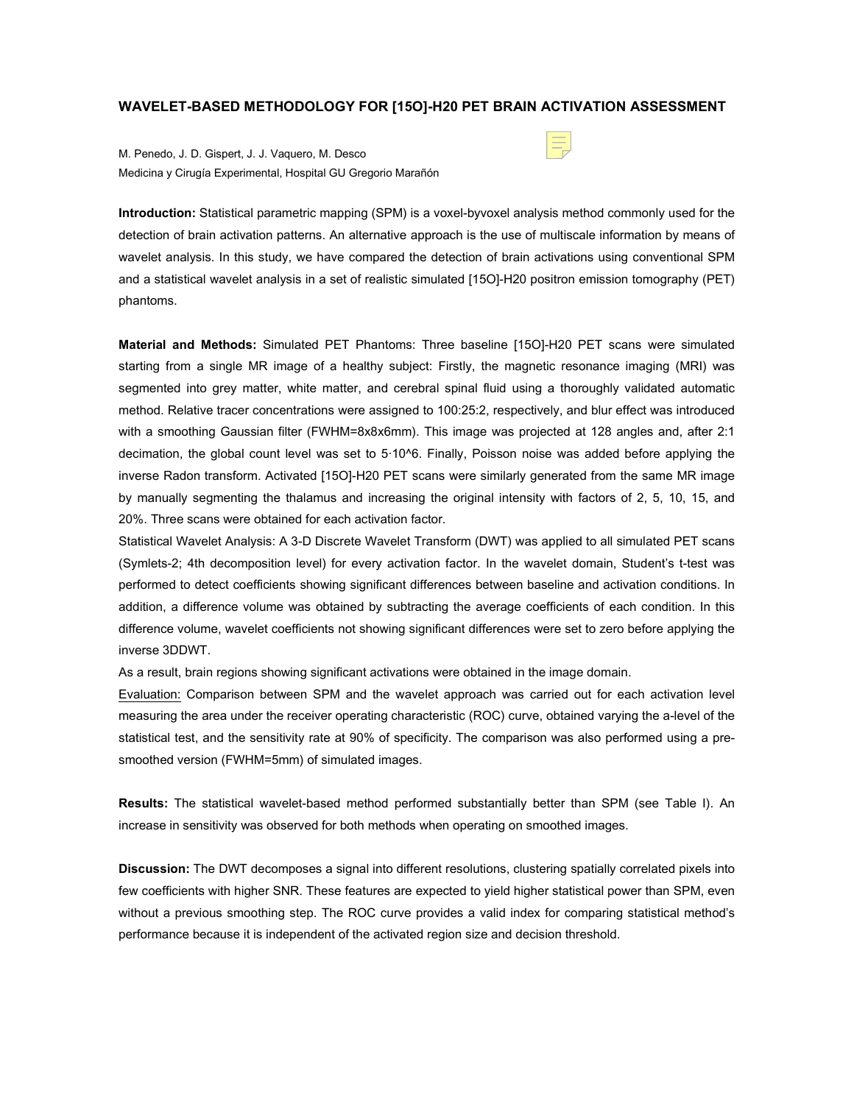## **WAVELET-BASED METHODOLOGY FOR [15O]-H20 PET BRAIN ACTIVATION ASSESSMENT**

M. Penedo, J. D. Gispert, J. J. Vaquero, M. Desco Medicina y Cirugía Experimental, Hospital GU Gregorio Marañón

**Introduction:** Statistical parametric mapping (SPM) is a voxel-byvoxel analysis method commonly used for the detection of brain activation patterns. An alternative approach is the use of multiscale information by means of wavelet analysis. In this study, we have compared the detection of brain activations using conventional SPM and a statistical wavelet analysis in a set of realistic simulated [15O]-H20 positron emission tomography (PET) phantoms.

**Material and Methods:** Simulated PET Phantoms: Three baseline [15O]-H20 PET scans were simulated starting from a single MR image of a healthy subject: Firstly, the magnetic resonance imaging (MRI) was segmented into grey matter, white matter, and cerebral spinal fluid using a thoroughly validated automatic method. Relative tracer concentrations were assigned to 100:25:2, respectively, and blur effect was introduced with a smoothing Gaussian filter (FWHM=8x8x6mm). This image was projected at 128 angles and, after 2:1 decimation, the global count level was set to 5.10^6. Finally, Poisson noise was added before applying the inverse Radon transform. Activated [15O]-H20 PET scans were similarly generated from the same MR image by manually segmenting the thalamus and increasing the original intensity with factors of 2, 5, 10, 15, and 20%. Three scans were obtained for each activation factor.

Statistical Wavelet Analysis: A 3-D Discrete Wavelet Transform (DWT) was applied to all simulated PET scans (Symlets-2; 4th decomposition level) for every activation factor. In the wavelet domain, Student's t-test was performed to detect coefficients showing significant differences between baseline and activation conditions. In addition, a difference volume was obtained by subtracting the average coefficients of each condition. In this difference volume, wavelet coefficients not showing significant differences were set to zero before applying the inverse 3DDWT.

As a result, brain regions showing significant activations were obtained in the image domain.

Evaluation: Comparison between SPM and the wavelet approach was carried out for each activation level measuring the area under the receiver operating characteristic (ROC) curve, obtained varying the a-level of the statistical test, and the sensitivity rate at 90% of specificity. The comparison was also performed using a presmoothed version (FWHM=5mm) of simulated images.

**Results:** The statistical wavelet-based method performed substantially better than SPM (see Table I). An increase in sensitivity was observed for both methods when operating on smoothed images.

**Discussion:** The DWT decomposes a signal into different resolutions, clustering spatially correlated pixels into few coefficients with higher SNR. These features are expected to yield higher statistical power than SPM, even without a previous smoothing step. The ROC curve provides a valid index for comparing statistical method's performance because it is independent of the activated region size and decision threshold.